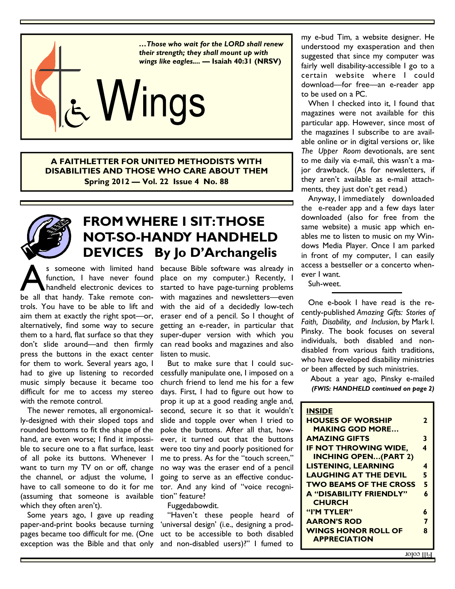

**A FAITHLETTER FOR UNITED METHODISTS WITH DISABILITIES AND THOSE WHO CARE ABOUT THEM Spring 2012 — Vol. 22 Issue 4 No. 88** 



## **FROM WHERE I SIT: THOSE NOT-SO-HANDY HANDHELD DEVICES By Jo D'Archangelis**

s someone with limited hand function, I have never found handheld electronic devices to be all that handy. Take remote confunction, I have never found handheld electronic devices to trols. You have to be able to lift and aim them at exactly the right spot—or, alternatively, find some way to secure them to a hard, flat surface so that they don't slide around—and then firmly press the buttons in the exact center for them to work. Several years ago, I had to give up listening to recorded cessfully manipulate one, I imposed on a music simply because it became too difficult for me to access my stereo with the remote control.

 The newer remotes, all ergonomically-designed with their sloped tops and rounded bottoms to fit the shape of the hand, are even worse; I find it impossible to secure one to a flat surface, least of all poke its buttons. Whenever I want to turn my TV on or off, change the channel, or adjust the volume, I have to call someone to do it for me (assuming that someone is available tion" feature? which they often aren't).

 Some years ago, I gave up reading paper-and-print books because turning pages became too difficult for me. (One exception was the Bible and that only

s someone with limited hand because Bible software was already in place on my computer.) Recently, I started to have page-turning problems with magazines and newsletters—even with the aid of a decidedly low-tech eraser end of a pencil. So I thought of getting an e-reader, in particular that super-duper version with which you can read books and magazines and also listen to music.

> But to make sure that I could succhurch friend to lend me his for a few days. First, I had to figure out how to prop it up at a good reading angle and, second, secure it so that it wouldn't slide and topple over when I tried to poke the buttons. After all that, however, it turned out that the buttons were too tiny and poorly positioned for me to press. As for the "touch screen," no way was the eraser end of a pencil going to serve as an effective conductor. And any kind of "voice recogni-

Fuggedabowdit.

 "Haven't these people heard of 'universal design' (i.e., designing a product to be accessible to both disabled and non-disabled users)?" I fumed to

my e-bud Tim, a website designer. He understood my exasperation and then suggested that since my computer was fairly well disability-accessible I go to a certain website where I could download—for free—an e-reader app to be used on a PC.

When I checked into it, I found that magazines were not available for this particular app. However, since most of the magazines I subscribe to are available online or in digital versions or, like *The Upper Room* devotionals, are sent to me daily via e-mail, this wasn't a major drawback. (As for newsletters, if they aren't available as e-mail attachments, they just don't get read.)

 Anyway, I immediately downloaded the e-reader app and a few days later downloaded (also for free from the same website) a music app which enables me to listen to music on my Windows Media Player. Once I am parked in front of my computer, I can easily access a bestseller or a concerto whenever I want.

Suh-weet.

 One e-book I have read is the recently-published *Amazing Gifts: Stories of Faith, Disability, and Inclusion*, by Mark I. Pinsky. The book focuses on several individuals, both disabled and nondisabled from various faith traditions, who have developed disability ministries or been affected by such ministries.

 About a year ago, Pinsky e-mailed *(FWIS: HANDHELD continued on page 2)* 

| <b>INSIDE</b>                 |   |
|-------------------------------|---|
| <b>HOUSES OF WORSHIP</b>      | 7 |
| <b>MAKING GOD MORE</b>        |   |
| <b>AMAZING GIFTS</b>          | 3 |
| IF NOT THROWING WIDE,         | 4 |
| <b>INCHING OPEN(PART 2)</b>   |   |
| <b>LISTENING, LEARNING</b>    | 4 |
| <b>LAUGHING AT THE DEVIL</b>  | 5 |
| <b>TWO BEAMS OF THE CROSS</b> | 5 |
| A "DISABILITY FRIENDLY"       | 6 |
| <b>CHURCH</b>                 |   |
| "I'M TYLER"                   | 6 |
| <b>AARON'S ROD</b>            | 7 |
| <b>WINGS HONOR ROLL OF</b>    | Զ |
| <b>APPRECIATION</b>           |   |
|                               |   |

Fill color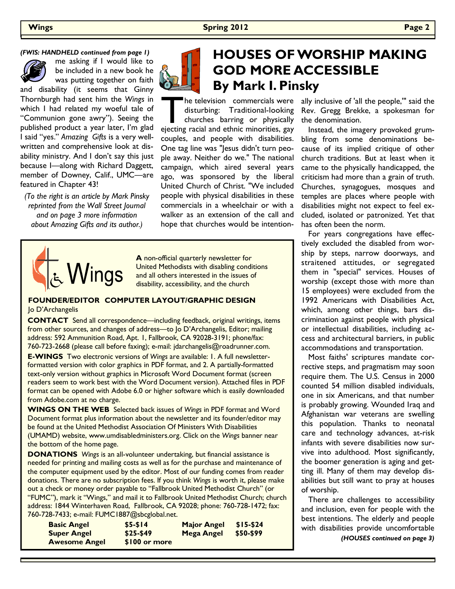

me asking if I would like to be included in a new book he

was putting together on faith and disability (it seems that Ginny Thornburgh had sent him the *Wings* in which I had related my woeful tale of "Communion gone awry"). Seeing the published product a year later, I'm glad I said "yes." *Amazing Gifts* is a very wellwritten and comprehensive look at disability ministry. And I don't say this just because I—along with Richard Daggett, member of Downey, Calif., UMC—are featured in Chapter 43!

*(To the right is an article by Mark Pinsky reprinted from the Wall Street Journal and on page 3 more information about Amazing Gifts and its author.)* 



# *(FWIS: HANDHELD continued from page 1)* **HOUSES OF WORSHIP MAKING GOD MORE ACCESSIBLE By Mark I. Pinsky**

The television commercials were<br>
disturbing: Traditional-looking<br>
churches barring or physically<br>
ejecting racial and ethnic minorities, gay disturbing: Traditional-looking churches barring or physically couples, and people with disabilities. One tag line was "Jesus didn't turn people away. Neither do we." The national campaign, which aired several years ago, was sponsored by the liberal United Church of Christ. "We included people with physical disabilities in these commercials in a wheelchair or with a walker as an extension of the call and hope that churches would be intention-



**A** non-official quarterly newsletter for United Methodists with disabling conditions and all others interested in the issues of disability, accessibility, and the church

### **FOUNDER/EDITOR COMPUTER LAYOUT/GRAPHIC DESIGN**  Jo D'Archangelis

**CONTACT** Send all correspondence—including feedback, original writings, items from other sources, and changes of address—to Jo D'Archangelis, Editor; mailing address: 592 Ammunition Road, Apt. 1, Fallbrook, CA 92028-3191; phone/fax: 760-723-2668 (please call before faxing); e-mail: jdarchangelis@roadrunner.com.

**E-WINGS** Two electronic versions of *Wings* are available: 1. A full newsletterformatted version with color graphics in PDF format, and 2. A partially-formatted text-only version without graphics in Microsoft Word Document format (screen readers seem to work best with the Word Document version). Attached files in PDF format can be opened with Adobe 6.0 or higher software which is easily downloaded from Adobe.com at no charge.

**WINGS ON THE WEB** Selected back issues of *Wings* in PDF format and Word Document format plus information about the newsletter and its founder/editor may be found at the United Methodist Association Of Ministers With Disabilities (UMAMD) website, www.umdisabledministers.org. Click on the *Wings* banner near the bottom of the home page.

**DONATIONS** *Wings* is an all-volunteer undertaking, but financial assistance is needed for printing and mailing costs as well as for the purchase and maintenance of the computer equipment used by the editor. Most of our funding comes from reader donations. There are no subscription fees. If you think *Wings* is worth it, please make out a check or money order payable to "Fallbrook United Methodist Church" (or "FUMC"), mark it "Wings," and mail it to Fallbrook United Methodist Church; church address: 1844 Winterhaven Road, Fallbrook, CA 92028; phone: 760-728-1472; fax: 760-728-7433; e-mail: FUMC1887@sbcglobal.net.

| <b>Basic Angel</b>   | $$5-514$      | <b>Major Angel</b> | $$15-524$ |
|----------------------|---------------|--------------------|-----------|
| <b>Super Angel</b>   | $$25-$49$     | Mega Angel         | \$50-\$99 |
| <b>Awesome Angel</b> | \$100 or more |                    |           |

### ally inclusive of 'all the people,'" said the Rev. Gregg Brekke, a spokesman for the denomination.

 Instead, the imagery provoked grumbling from some denominations because of its implied critique of other church traditions. But at least when it came to the physically handicapped, the criticism had more than a grain of truth. Churches, synagogues, mosques and temples are places where people with disabilities might not expect to feel excluded, isolated or patronized. Yet that has often been the norm.

 For years congregations have effectively excluded the disabled from worship by steps, narrow doorways, and straitened attitudes, or segregated them in "special" services. Houses of worship (except those with more than 15 employees) were excluded from the 1992 Americans with Disabilities Act, which, among other things, bars discrimination against people with physical or intellectual disabilities, including access and architectural barriers, in public accommodations and transportation.

 Most faiths' scriptures mandate corrective steps, and pragmatism may soon require them. The U.S. Census in 2000 counted 54 million disabled individuals, one in six Americans, and that number is probably growing. Wounded Iraq and Afghanistan war veterans are swelling this population. Thanks to neonatal care and technology advances, at-risk infants with severe disabilities now survive into adulthood. Most significantly, the boomer generation is aging and getting ill. Many of them may develop disabilities but still want to pray at houses of worship.

 There are challenges to accessibility and inclusion, even for people with the best intentions. The elderly and people with disabilities provide uncomfortable *(HOUSES continued on page 3)*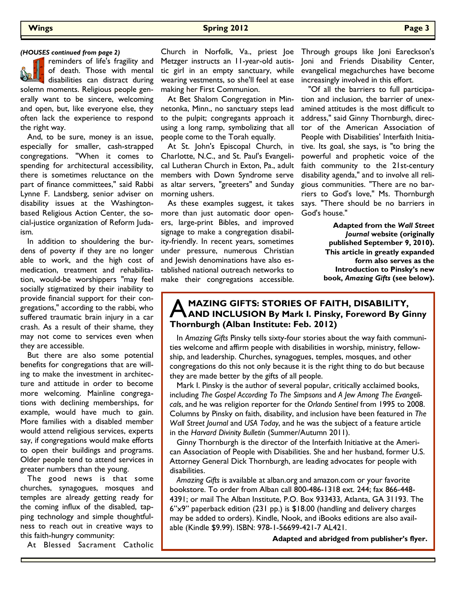reminders of life's fragility and of death. Those with mental disabilities can distract during solemn moments. Religious people generally want to be sincere, welcoming and open, but, like everyone else, they often lack the experience to respond the right way.

 And, to be sure, money is an issue, especially for smaller, cash-strapped congregations. "When it comes to spending for architectural accessibility, there is sometimes reluctance on the part of finance committees," said Rabbi Lynne F. Landsberg, senior adviser on disability issues at the Washingtonbased Religious Action Center, the social-justice organization of Reform Judaism.

 In addition to shouldering the burdens of poverty if they are no longer able to work, and the high cost of medication, treatment and rehabilitation, would-be worshippers "may feel socially stigmatized by their inability to provide financial support for their congregations," according to the rabbi, who suffered traumatic brain injury in a car crash. As a result of their shame, they may not come to services even when they are accessible.

 But there are also some potential benefits for congregations that are willing to make the investment in architecture and attitude in order to become more welcoming. Mainline congregations with declining memberships, for example, would have much to gain. More families with a disabled member would attend religious services, experts say, if congregations would make efforts to open their buildings and programs. Older people tend to attend services in greater numbers than the young.

 The good news is that some churches, synagogues, mosques and temples are already getting ready for the coming influx of the disabled, tapping technology and simple thoughtfulness to reach out in creative ways to this faith-hungry community:

At Blessed Sacrament Catholic

*(HOUSES continued from page 2)* Church in Norfolk, Va., priest Joe Metzger instructs an 11-year-old autistic girl in an empty sanctuary, while wearing vestments, so she'll feel at ease making her First Communion.

> At Bet Shalom Congregation in Minnetonka, Minn., no sanctuary steps lead to the pulpit; congregants approach it using a long ramp, symbolizing that all people come to the Torah equally.

> At St. John's Episcopal Church, in Charlotte, N.C., and St. Paul's Evangelical Lutheran Church in Exton, Pa., adult members with Down Syndrome serve as altar servers, "greeters" and Sunday morning ushers.

> As these examples suggest, it takes more than just automatic door openers, large-print Bibles, and improved signage to make a congregation disability-friendly. In recent years, sometimes under pressure, numerous Christian and Jewish denominations have also established national outreach networks to make their congregations accessible.

Through groups like Joni Eareckson's Joni and Friends Disability Center, evangelical megachurches have become increasingly involved in this effort.

 "Of all the barriers to full participation and inclusion, the barrier of unexamined attitudes is the most difficult to address," said Ginny Thornburgh, director of the American Association of People with Disabilities' Interfaith Initiative. Its goal, she says, is "to bring the powerful and prophetic voice of the faith community to the 21st-century disability agenda," and to involve all religious communities. "There are no barriers to God's love," Ms. Thornburgh says. "There should be no barriers in God's house."

> **Adapted from the** *Wall Street Journal* **website (originally published September 9, 2010). This article in greatly expanded form also serves as the Introduction to Pinsky's new book,** *Amazing Gifts* **(see below).**

## A **MAZING GIFTS: STORIES OF FAITH, DISABILITY, AND INCLUSION By Mark I. Pinsky, Foreword By Ginny Thornburgh (Alban Institute: Feb. 2012)**

 In *Amazing Gifts* Pinsky tells sixty-four stories about the way faith communities welcome and affirm people with disabilities in worship, ministry, fellowship, and leadership. Churches, synagogues, temples, mosques, and other congregations do this not only because it is the right thing to do but because they are made better by the gifts of all people.

 Mark I. Pinsky is the author of several popular, critically acclaimed books, including *The Gospel According To The Simpsons* and *A Jew Among The Evangelicals*, and he was religion reporter for the *Orlando Sentinel* from 1995 to 2008. Columns by Pinsky on faith, disability, and inclusion have been featured in *The Wall Street Journal* and *USA Today*, and he was the subject of a feature article in the *Harvard Divinity Bulletin* (Summer/Autumn 2011).

 Ginny Thornburgh is the director of the Interfaith Initiative at the American Association of People with Disabilities. She and her husband, former U.S. Attorney General Dick Thornburgh, are leading advocates for people with disabilities.

*Amazing Gifts* is available at alban.org and amazon.com or your favorite bookstore. To order from Alban call 800-486-1318 ext. 244; fax 866-448- 4391; or mail The Alban Institute, P.O. Box 933433, Atlanta, GA 31193. The 6"x9" paperback edition (231 pp.) is \$18.00 (handling and delivery charges may be added to orders). Kindle, Nook, and iBooks editions are also available (Kindle \$9.99). ISBN: 978-1-56699-421-7 AL421.

**Adapted and abridged from publisher's flyer.**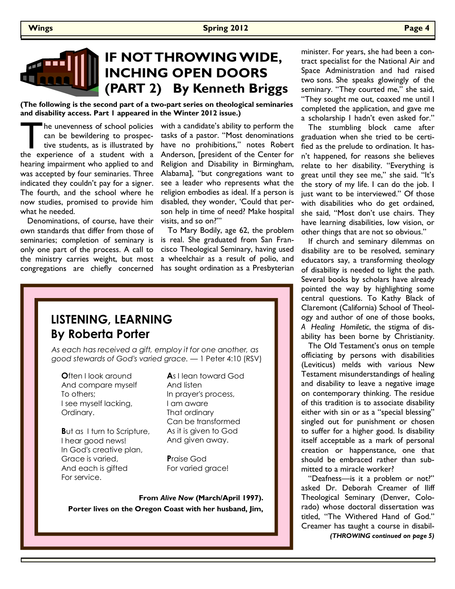

**(The following is the second part of a two-part series on theological seminaries and disability access. Part 1 appeared in the Winter 2012 issue.)** 

The unevenness of school policies<br>
can be bewildering to prospec-<br>
tive students, as is illustrated by<br>
the experience of a student with a can be bewildering to prospective students, as is illustrated by hearing impairment who applied to and was accepted by four seminaries. Three indicated they couldn't pay for a signer. The fourth, and the school where he now studies, promised to provide him what he needed. he unevenness of school policies with a candidate's ability to perform the

 Denominations, of course, have their own standards that differ from those of seminaries; completion of seminary is only one part of the process. A call to the ministry carries weight, but most congregations are chiefly concerned

tasks of a pastor. "Most denominations have no prohibitions," notes Robert Anderson, [president of the Center for Religion and Disability in Birmingham, Alabama], "but congregations want to see a leader who represents what the religion embodies as ideal. If a person is disabled, they wonder, 'Could that person help in time of need? Make hospital visits, and so on?'"

 To Mary Bodily, age 62, the problem is real. She graduated from San Francisco Theological Seminary, having used a wheelchair as a result of polio, and has sought ordination as a Presbyterian

### **LISTENING, LEARNING By Roberta Porter**

*As each has received a gift, employ it for one another, as good stewards of God's varied grace. —* 1 Peter 4:10 (RSV)

**O**ften I look around And compare myself To others; I see myself lacking, Ordinary.

**B**ut as I turn to Scripture, I hear good news! In God's creative plan, Grace is varied, And each is gifted For service.

**A**s I lean toward God And listen In prayer's process, I am aware That ordinary Can be transformed As it is given to God And given away.

**P**raise God For varied grace!

**From** *Alive Now* **(March/April 1997). Porter lives on the Oregon Coast with her husband, Jim,**  minister. For years, she had been a contract specialist for the National Air and Space Administration and had raised two sons. She speaks glowingly of the seminary. "They courted me," she said, "They sought me out, coaxed me until I completed the application, and gave me a scholarship I hadn't even asked for."

 The stumbling block came after graduation when she tried to be certified as the prelude to ordination. It hasn't happened, for reasons she believes relate to her disability. "Everything is great until they see me," she said. "It's the story of my life. I can do the job. I just want to be interviewed." Of those with disabilities who do get ordained, she said, "Most don't use chairs. They have learning disabilities, low vision, or other things that are not so obvious."

 If church and seminary dilemmas on disability are to be resolved, seminary educators say, a transforming theology of disability is needed to light the path. Several books by scholars have already pointed the way by highlighting some central questions. To Kathy Black of Claremont (California) School of Theology and author of one of those books, *A Healing Homiletic*, the stigma of disability has been borne by Christianity.

 The Old Testament's onus on temple officiating by persons with disabilities (Leviticus) melds with various New Testament misunderstandings of healing and disability to leave a negative image on contemporary thinking. The residue of this tradition is to associate disability either with sin or as a "special blessing" singled out for punishment or chosen to suffer for a higher good. Is disability itself acceptable as a mark of personal creation or happenstance, one that should be embraced rather than submitted to a miracle worker?

 "Deafness—is it a problem or not?" asked Dr. Deborah Creamer of Iliff Theological Seminary (Denver, Colorado) whose doctoral dissertation was titled, "The Withered Hand of God." Creamer has taught a course in disabil- *(THROWING continued on page 5)*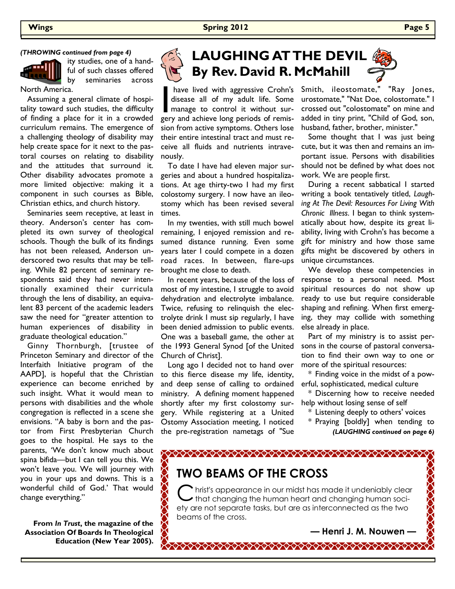### *(THROWING continued from page 4)*



ity studies, one of a handful of such classes offered by seminaries across

 Assuming a general climate of hospitality toward such studies, the difficulty of finding a place for it in a crowded curriculum remains. The emergence of a challenging theology of disability may help create space for it next to the pastoral courses on relating to disability and the attitudes that surround it. Other disability advocates promote a more limited objective: making it a component in such courses as Bible, Christian ethics, and church history.

 Seminaries seem receptive, at least in theory. Anderson's center has completed its own survey of theological schools. Though the bulk of its findings has not been released, Anderson underscored two results that may be telling. While 82 percent of seminary respondents said they had never intentionally examined their curricula through the lens of disability, an equivalent 83 percent of the academic leaders saw the need for "greater attention to human experiences of disability in graduate theological education."

 Ginny Thornburgh, [trustee of Princeton Seminary and director of the Interfaith Initiative program of the AAPD], is hopeful that the Christian experience can become enriched by such insight. What it would mean to persons with disabilities and the whole congregation is reflected in a scene she envisions. "A baby is born and the pastor from First Presbyterian Church goes to the hospital. He says to the parents, 'We don't know much about spina bifida—but I can tell you this. We won't leave you. We will journey with you in your ups and downs. This is a wonderful child of God.' That would change everything."

**From** *In Trust***, the magazine of the Association Of Boards In Theological Education (New Year 2005).**



# **LAUGHING AT THE DEVIL By Rev. David R. McMahill**

have lived with aggressive Crohn's<br>disease all of my adult life. Some<br>manage to control it without sur-<br>gery and achieve long periods of remisdisease all of my adult life. Some manage to control it without sursion from active symptoms. Others lose their entire intestinal tract and must receive all fluids and nutrients intravenously.

 To date I have had eleven major surgeries and about a hundred hospitalizations. At age thirty-two I had my first colostomy surgery. I now have an ileostomy which has been revised several times.

 In my twenties, with still much bowel remaining, I enjoyed remission and resumed distance running. Even some years later I could compete in a dozen road races. In between, flare-ups brought me close to death.

 In recent years, because of the loss of most of my intestine, I struggle to avoid dehydration and electrolyte imbalance. Twice, refusing to relinquish the electrolyte drink I must sip regularly, I have been denied admission to public events. One was a baseball game, the other at the 1993 General Synod [of the United Church of Christ].

 Long ago I decided not to hand over to this fierce disease my life, identity, and deep sense of calling to ordained ministry. A defining moment happened shortly after my first colostomy surgery. While registering at a United Ostomy Association meeting, I noticed the pre-registration nametags of "Sue

Smith, ileostomate," "Ray Jones, urostomate," "Nat Doe, colostomate." I crossed out "colostomate" on mine and added in tiny print, "Child of God, son, husband, father, brother, minister."

 Some thought that I was just being cute, but it was then and remains an important issue. Persons with disabilities should not be defined by what does not work. We are people first.

 During a recent sabbatical I started writing a book tentatively titled, *Laughing At The Devil: Resources For Living With Chronic Illness*. I began to think systematically about how, despite its great liability, living with Crohn's has become a gift for ministry and how those same gifts might be discovered by others in unique circumstances.

 We develop these competencies in response to a personal need. Most spiritual resources do not show up ready to use but require considerable shaping and refining. When first emerging, they may collide with something else already in place.

 Part of my ministry is to assist persons in the course of pastoral conversation to find their own way to one or more of the spiritual resources:

 \* Finding voice in the midst of a powerful, sophisticated, medical culture

 \* Discerning how to receive needed help without losing sense of self

\* Listening deeply to others' voices

 \* Praying [boldly] when tending to *(LAUGHING continued on page 6)* 

# **TWO BEAMS OF THE CROSS**

C hrist's appearance in our midst has made it undeniably clear that changing the human heart and changing human society are not separate tasks, but are as interconnected as the two beams of the cross.

**— Henri J. M. Nouwen —**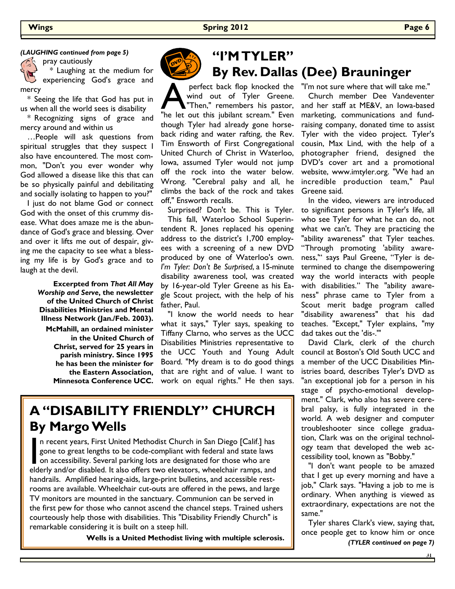pray cautiously \* Laughing at the medium for experiencing God's grace and mercy

 \* Seeing the life that God has put in us when all the world sees is disability

 \* Recognizing signs of grace and mercy around and within us

 …People will ask questions from spiritual struggles that they suspect I also have encountered. The most common, "Don't you ever wonder why God allowed a disease like this that can be so physically painful and debilitating and socially isolating to happen to you?"

 I just do not blame God or connect God with the onset of this crummy disease. What does amaze me is the abundance of God's grace and blessing. Over and over it lifts me out of despair, giving me the capacity to see what a blessing my life is by God's grace and to laugh at the devil.

> **Excerpted from** *That All May Worship and Serve***, the newsletter of the United Church of Christ Disabilities Ministries and Mental Illness Network (Jan./Feb. 2003).**

**McMahill, an ordained minister in the United Church of Christ, served for 25 years in parish ministry. Since 1995 he has been the minister for the Eastern Association, Minnesota Conference UCC.** 



# **"I'M TYLER" By Rev. Dallas (Dee) Brauninger**

perfect back flop knocked the<br>
wind out of Tyler Greene.<br>
"Then," remembers his pastor,<br>
"he let out this jubilant scream." Even wind out of Tyler Greene. "Then," remembers his pastor, though Tyler had already gone horseback riding and water rafting, the Rev. Tim Ensworth of First Congregational United Church of Christ in Waterloo, Iowa, assumed Tyler would not jump off the rock into the water below. Wrong. "Cerebral palsy and all, he climbs the back of the rock and takes off," Ensworth recalls.

Surprised? Don't be. This is Tyler.

 This fall, Waterloo School Superintendent R. Jones replaced his opening address to the district's 1,700 employees with a screening of a new DVD produced by one of Waterloo's own. *I'm Tyler: Don't Be Surprised*, a 15-minute disability awareness tool, was created by 16-year-old Tyler Greene as his Eagle Scout project, with the help of his father, Paul.

 "I know the world needs to hear what it says," Tyler says, speaking to Tiffany Clarno, who serves as the UCC Disabilities Ministries representative to the UCC Youth and Young Adult Board. "My dream is to do good things that are right and of value. I want to work on equal rights." He then says.

**A "DISABILITY FRIENDLY" CHURCH By Margo Wells** 

n recent years, First United Methodist Church in San Diego [Calif.] has gone to great lengths to be code-compliant with federal and state laws on accessibility. Several parking lots are designated for those who are elderly and/or disabled. It also offers two elevators, wheelchair ramps, and handrails. Amplified hearing-aids, large-print bulletins, and accessible restrooms are available. Wheelchair cut-outs are offered in the pews, and large TV monitors are mounted in the sanctuary. Communion can be served in the first pew for those who cannot ascend the chancel steps. Trained ushers courteously help those with disabilities. This "Disability Friendly Church" is remarkable considering it is built on a steep hill.

**Wells is a United Methodist living with multiple sclerosis.** 

"I'm not sure where that will take me."

 Church member Dee Vandeventer and her staff at ME&V, an Iowa-based marketing, communications and fundraising company, donated time to assist Tyler with the video project. Tyler's cousin, Max Lind, with the help of a photographer friend, designed the DVD's cover art and a promotional website, www.imtyler.org. "We had an incredible production team," Paul Greene said.

 In the video, viewers are introduced to significant persons in Tyler's life, all who see Tyler for what he can do, not what we can't. They are practicing the "ability awareness" that Tyler teaches. "Through promoting 'ability awareness,'" says Paul Greene, "Tyler is determined to change the disempowering way the world interacts with people with disabilities." The "ability awareness" phrase came to Tyler from a Scout merit badge program called "disability awareness" that his dad teaches. "Except," Tyler explains, "my dad takes out the 'dis-.'"

 David Clark, clerk of the church council at Boston's Old South UCC and a member of the UCC Disabilities Ministries board, describes Tyler's DVD as "an exceptional job for a person in his stage of psycho-emotional development." Clark, who also has severe cerebral palsy, is fully integrated in the world. A web designer and computer troubleshooter since college graduation, Clark was on the original technology team that developed the web accessibility tool, known as "Bobby."

 "I don't want people to be amazed that I get up every morning and have a job," Clark says. "Having a job to me is ordinary. When anything is viewed as extraordinary, expectations are not the same."

 Tyler shares Clark's view, saying that, once people get to know him or once *(TYLER continued on page 7)* 

 $\pm$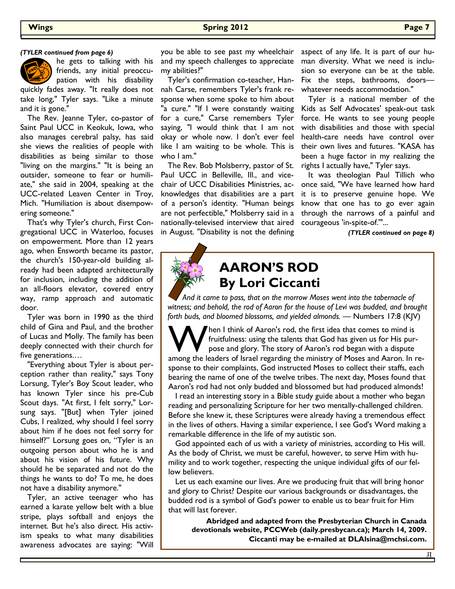

he gets to talking with his friends, any initial preoccupation with his disability

quickly fades away. "It really does not take long," Tyler says. "Like a minute and it is gone."

 The Rev. Jeanne Tyler, co-pastor of Saint Paul UCC in Keokuk, Iowa, who also manages cerebral palsy, has said she views the realities of people with disabilities as being similar to those "living on the margins." "It is being an outsider, someone to fear or humiliate," she said in 2004, speaking at the UCC-related Leaven Center in Troy, Mich. "Humiliation is about disempowering someone."

 That's why Tyler's church, First Congregational UCC in Waterloo, focuses on empowerment. More than 12 years ago, when Ensworth became its pastor, the church's 150-year-old building already had been adapted architecturally for inclusion, including the addition of an all-floors elevator, covered entry way, ramp approach and automatic door.

 Tyler was born in 1990 as the third child of Gina and Paul, and the brother of Lucas and Molly. The family has been deeply connected with their church for five generations.…

 "Everything about Tyler is about perception rather than reality," says Tony Lorsung, Tyler's Boy Scout leader, who has known Tyler since his pre-Cub Scout days. "At first, I felt sorry," Lorsung says. "[But] when Tyler joined Cubs, I realized, why should I feel sorry about him if he does not feel sorry for himself?" Lorsung goes on, "Tyler is an outgoing person about who he is and about his vision of his future. Why should he be separated and not do the things he wants to do? To me, he does not have a disability anymore."

 Tyler, an active teenager who has earned a karate yellow belt with a blue stripe, plays softball and enjoys the internet. But he's also direct. His activism speaks to what many disabilities awareness advocates are saying: "Will

*(TYLER continued from page 6)* you be able to see past my wheelchair and my speech challenges to appreciate my abilities?"

> Tyler's confirmation co-teacher, Hannah Carse, remembers Tyler's frank response when some spoke to him about "a cure." "If I were constantly waiting for a cure," Carse remembers Tyler saying, "I would think that I am not okay or whole now. I don't ever feel like I am waiting to be whole. This is who I am."

> The Rev. Bob Molsberry, pastor of St. Paul UCC in Belleville, III., and vicechair of UCC Disabilities Ministries, acknowledges that disabilities are a part of a person's identity. "Human beings are not perfectible," Molsberry said in a nationally-televised interview that aired in August. "Disability is not the defining

aspect of any life. It is part of our human diversity. What we need is inclusion so everyone can be at the table. Fix the steps, bathrooms, doors whatever needs accommodation."

 Tyler is a national member of the Kids as Self Advocates' speak-out task force. He wants to see young people with disabilities and those with special health-care needs have control over their own lives and futures. "KASA has been a huge factor in my realizing the rights I actually have," Tyler says.

 It was theologian Paul Tillich who once said, "We have learned how hard it is to preserve genuine hope. We know that one has to go ever again through the narrows of a painful and courageous 'in-spite-of.'"...

*(TYLER continued on page 8)* 

If



## **AARON'S ROD By Lori Ciccanti**

 *And it came to pass, that on the morrow Moses went into the tabernacle of witness; and behold, the rod of Aaron for the house of Levi was budded, and brought forth buds, and bloomed blossoms, and yielded almonds. —* Numbers 17:8 (KJV)

W hen I think of Aaron's rod, the first idea that comes to mind is<br>
fruitfulness: using the talents that God has given us for His pur-<br>
pose and glory. The story of Aaron's rod began with a dispute<br>
among the leaders of Is fruitfulness: using the talents that God has given us for His purpose and glory. The story of Aaron's rod began with a dispute sponse to their complaints, God instructed Moses to collect their staffs, each bearing the name of one of the twelve tribes. The next day, Moses found that Aaron's rod had not only budded and blossomed but had produced almonds!

 I read an interesting story in a Bible study guide about a mother who began reading and personalizing Scripture for her two mentally-challenged children. Before she knew it, these Scriptures were already having a tremendous effect in the lives of others. Having a similar experience, I see God's Word making a remarkable difference in the life of my autistic son.

 God appointed each of us with a variety of ministries, according to His will. As the body of Christ, we must be careful, however, to serve Him with humility and to work together, respecting the unique individual gifts of our fellow believers.

 Let us each examine our lives. Are we producing fruit that will bring honor and glory to Christ? Despite our various backgrounds or disadvantages, the budded rod is a symbol of God's power to enable us to bear fruit for Him that will last forever.

**Abridged and adapted from the Presbyterian Church in Canada devotionals website, PCCWeb (daily.presbycan.ca); March 14, 2009. Ciccanti may be e-mailed at DLAlsina@mchsi.com.**